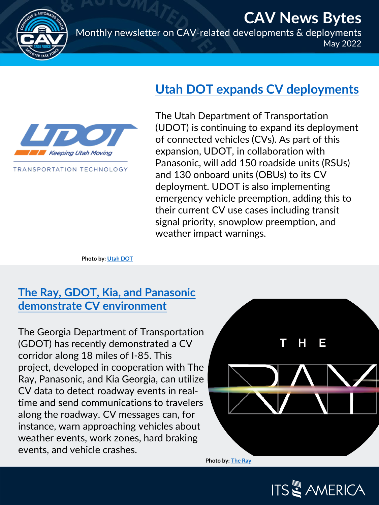

**CAV News Bytes** Monthly newsletter on CAV-related developments & deployments May 2022



TRANSPORTATION TECHNOLOGY

The Utah Department of Transportation (UDOT) is continuing to expand its deployment of connected vehicles (CVs). As part of this expansion, UDOT, in collaboration with Panasonic, will add 150 roadside units (RSUs) and 130 onboard units (OBUs) to its CV deployment. UDOT is also implementing emergency vehicle preemption, adding this to their current CV use cases including transit

signal priority, snowplow preemption, and

weather impact warnings.

**[Utah DOT expands CV deployments](https://www.govtech.com/transportation/utah-expands-connected-vehicle-project-to-include-more-autos.html)**

**Photo by: [Utah DOT](https://transportationtechnology.utah.gov/technology-faq/)**

## **[The Ray, GDOT, Kia, and Panasonic](https://www.autoconnectedcar.com/2022/05/georgia-dot-the-ray-kia-and-panasonic-demo-connected-v2x-vehicles-on-the-ray-highway/)  demonstrate CV environment**

The Georgia Department of Transportation (GDOT) has recently demonstrated a CV corridor along 18 miles of I-85. This project, developed in cooperation with The Ray, Panasonic, and Kia Georgia, can utilize CV data to detect roadway events in realtime and send communications to travelers along the roadway. CV messages can, for instance, warn approaching vehicles about weather events, work zones, hard braking events, and vehicle crashes.



**ITS & AMERICA** 

**[Photo by: The Ray](https://www.valleytimes-news.com/2022/05/the-ray-hosts-new-gdot-safety-feature/)**